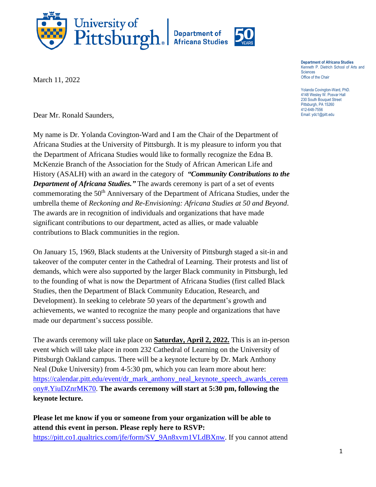



March 11, 2022

Dear Mr. Ronald Saunders,

My name is Dr. Yolanda Covington-Ward and I am the Chair of the Department of Africana Studies at the University of Pittsburgh. It is my pleasure to inform you that the Department of Africana Studies would like to formally recognize the Edna B. McKenzie Branch of the Association for the Study of African American Life and History (ASALH) with an award in the category of *"Community Contributions to the Department of Africana Studies."* The awards ceremony is part of a set of events commemorating the 50<sup>th</sup> Anniversary of the Department of Africana Studies, under the umbrella theme of *Reckoning and Re-Envisioning: Africana Studies at 50 and Beyond*. The awards are in recognition of individuals and organizations that have made significant contributions to our department, acted as allies, or made valuable contributions to Black communities in the region.

On January 15, 1969, Black students at the University of Pittsburgh staged a sit-in and takeover of the computer center in the Cathedral of Learning. Their protests and list of demands, which were also supported by the larger Black community in Pittsburgh, led to the founding of what is now the Department of Africana Studies (first called Black Studies, then the Department of Black Community Education, Research, and Development). In seeking to celebrate 50 years of the department's growth and achievements, we wanted to recognize the many people and organizations that have made our department's success possible.

The awards ceremony will take place on **Saturday, April 2, 2022.** This is an in-person event which will take place in room 232 Cathedral of Learning on the University of Pittsburgh Oakland campus. There will be a keynote lecture by Dr. Mark Anthony Neal (Duke University) from 4-5:30 pm, which you can learn more about here: [https://calendar.pitt.edu/event/dr\\_mark\\_anthony\\_neal\\_keynote\\_speech\\_awards\\_cerem](https://calendar.pitt.edu/event/dr_mark_anthony_neal_keynote_speech_awards_ceremony#.YiuDZnrMK70) [ony#.YiuDZnrMK70.](https://calendar.pitt.edu/event/dr_mark_anthony_neal_keynote_speech_awards_ceremony#.YiuDZnrMK70) **The awards ceremony will start at 5:30 pm, following the keynote lecture.**

**Please let me know if you or someone from your organization will be able to attend this event in person. Please reply here to RSVP:** [https://pitt.co1.qualtrics.com/jfe/form/SV\\_9An8xvm1VLdBXnw.](https://pitt.co1.qualtrics.com/jfe/form/SV_9An8xvm1VLdBXnw) If you cannot attend **Department of Africana Studies** Kenneth P. Dietrich School of Arts and **Sciences** Office of the Chair

Yolanda Covington-Ward, PhD. 4148 Wesley W. Posvar Hall 230 South Bouquet Street Pittsburgh, PA 15260 412-648-7556 Email: ydc1@pitt.edu